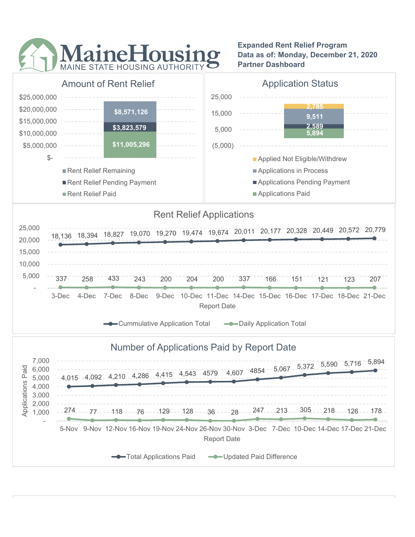

Expanded Rent Relief Program Data as of: Monday, December 21, 2020 Partner Dashboard